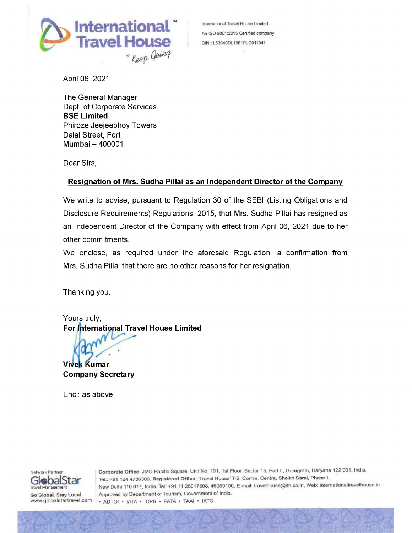

April 06, 2021

The General Manager Dept. of Corporate Services BSE Limited Phiroze Jeejeebhoy Towers Dalal Street, Fort Mumbai — 400001

Dear Sirs,

## Resignation of Mrs. Sudha Pillai as an Independent Director of the Company

We write to advise, pursuant to Regulation 30 of the SEBI (Listing Obligations and Disclosure Requirements) Regulations, 2015, that Mrs. Sudha Pillai has resigned as an Independent Director of the Company with effect from April 06, 2021 due to her other commitments. **CONSECTIVE CONSECTIVE CONSECTIVE CONSECTATION**<br> **CONSECTIVE CONSECTIVE CONSECTATION**<br> **CONSECTIVE CONSECTATION**<br> **CONSECTIVE CONSECTATION**<br> **CONSECTATION**<br> **CONSECTATION**<br> **CONSECTIVE CONSECTIVE CONSECTATION**<br> **CONSECTAT** 

We enclose, as required under the aforesaid Regulation, a confirmation from Mrs. Sudha Pillai that there are no other reasons for her resignation.

Thanking you.

Yours truly,

Company Secretary

Encl: as above



Erici. as above<br>
Star Tel.: +91 124 4<br>
Agy Local.<br>
Approved by D<br>
Approved by D<br>
Approved by D<br>
Approved by D<br>
Approved by D<br>
Approved by D<br>
Approved by D<br>
Approved D<br>
Approved D<br>
Approved D<br>
Approved D<br>
Approved D<br>
B<br>
Ap Network Partner **Corporate Office: JMD Pacific Square, Unit No. 101, 1st Floor, Sector 15, Part II, Gurugram, Haryana 122 001, India.** GlebalStar Tel.: +91 124 4786300. Registered Office: 'Travel House' T-2, Comm. Centre, Sheikh Sarai, Phase I, New Delhi 110 017, India. Tel: +91 11 26017808, 46059100, E-mail: travelhouse@ith.co.in, Web: internationaltravelhouse.in Go Global. Stay Local. Approved by Department of Tourism, Government of India. www.globalstartravel.com | . ADTOI · IATA · ICPB · PATA · TAAI · IATO